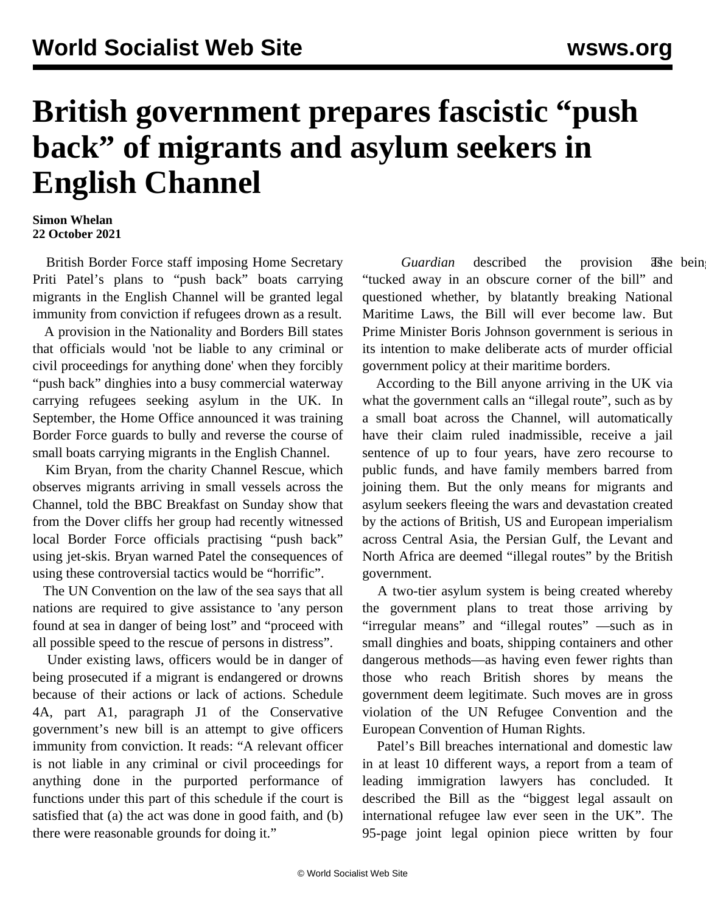## **British government prepares fascistic "push back" of migrants and asylum seekers in English Channel**

## **Simon Whelan 22 October 2021**

 British Border Force staff imposing Home Secretary Priti Patel's plans to "push back" boats carrying migrants in the English Channel will be granted legal immunity from conviction if refugees drown as a result.

 A provision in the Nationality and Borders Bill states that officials would 'not be liable to any criminal or civil proceedings for anything done' when they forcibly "push back" dinghies into a busy commercial waterway carrying refugees seeking asylum in the UK. In September, the Home Office announced it was training Border Force guards to bully and reverse the course of small boats carrying migrants in the English Channel.

 Kim Bryan, from the charity Channel Rescue, which observes migrants arriving in small vessels across the Channel, told the BBC Breakfast on Sunday show that from the Dover cliffs her group had recently witnessed local Border Force officials practising "push back" using jet-skis. Bryan warned Patel the consequences of using these controversial tactics would be "horrific".

 The UN Convention on the law of the sea says that all nations are required to give assistance to 'any person found at sea in danger of being lost" and "proceed with all possible speed to the rescue of persons in distress".

 Under existing laws, officers would be in danger of being prosecuted if a migrant is endangered or drowns because of their actions or lack of actions. Schedule 4A, part A1, paragraph J1 of the Conservative government's new bill is an attempt to give officers immunity from conviction. It reads: "A relevant officer is not liable in any criminal or civil proceedings for anything done in the purported performance of functions under this part of this schedule if the court is satisfied that (a) the act was done in good faith, and (b) there were reasonable grounds for doing it."

*Guardian* described the provision as being "tucked away in an obscure corner of the bill" and questioned whether, by blatantly breaking National Maritime Laws, the Bill will ever become law. But Prime Minister Boris Johnson government is serious in its intention to make deliberate acts of murder official government policy at their maritime borders.

 According to the Bill anyone arriving in the UK via what the government calls an "illegal route", such as by a small boat across the Channel, will automatically have their claim ruled inadmissible, receive a jail sentence of up to four years, have zero recourse to public funds, and have family members barred from joining them. But the only means for migrants and asylum seekers fleeing the wars and devastation created by the actions of British, US and European imperialism across Central Asia, the Persian Gulf, the Levant and North Africa are deemed "illegal routes" by the British government.

 A two-tier asylum system is being created whereby the government plans to treat those arriving by "irregular means" and "illegal routes" —such as in small dinghies and boats, shipping containers and other dangerous methods—as having even fewer rights than those who reach British shores by means the government deem legitimate. Such moves are in gross violation of the UN Refugee Convention and the European Convention of Human Rights.

 Patel's Bill breaches international and domestic law in at least 10 different ways, a report from a team of leading immigration lawyers has concluded. It described the Bill as the "biggest legal assault on international refugee law ever seen in the UK". The 95-page joint legal opinion piece written by four